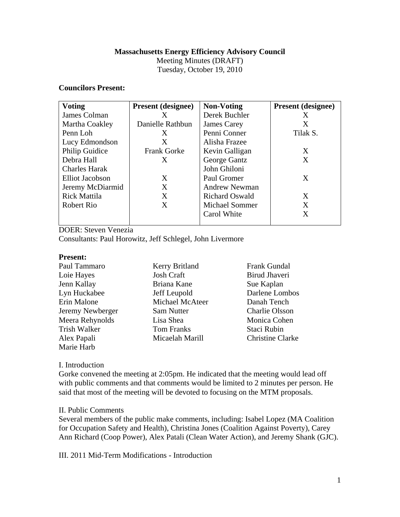## **Massachusetts Energy Efficiency Advisory Council**

Meeting Minutes (DRAFT)

Tuesday, October 19, 2010

# **Councilors Present:**

| <b>Voting</b>        | <b>Present (designee)</b> | <b>Non-Voting</b>     | <b>Present</b> (designee) |
|----------------------|---------------------------|-----------------------|---------------------------|
| James Colman         | X                         | Derek Buchler         | X                         |
| Martha Coakley       | Danielle Rathbun          | James Carey           | Χ                         |
| Penn Loh             | X                         | Penni Conner          | Tilak S.                  |
| Lucy Edmondson       | X                         | Alisha Frazee         |                           |
| Philip Guidice       | <b>Frank Gorke</b>        | Kevin Galligan        | X                         |
| Debra Hall           | X                         | George Gantz          | X                         |
| <b>Charles Harak</b> |                           | John Ghiloni          |                           |
| Elliot Jacobson      | X                         | Paul Gromer           | X                         |
| Jeremy McDiarmid     | X                         | <b>Andrew Newman</b>  |                           |
| <b>Rick Mattila</b>  | X                         | <b>Richard Oswald</b> | X                         |
| Robert Rio           | X                         | <b>Michael Sommer</b> | X                         |
|                      |                           | Carol White           | X                         |
|                      |                           |                       |                           |

DOER: Steven Venezia

Consultants: Paul Horowitz, Jeff Schlegel, John Livermore

#### **Present:**

| Paul Tammaro     | Kerry Britland    | <b>Frank Gundal</b>     |
|------------------|-------------------|-------------------------|
| Loie Hayes       | <b>Josh Craft</b> | Birud Jhaveri           |
| Jenn Kallay      | Briana Kane       | Sue Kaplan              |
| Lyn Huckabee     | Jeff Leupold      | Darlene Lombos          |
| Erin Malone      | Michael McAteer   | Danah Tench             |
| Jeremy Newberger | Sam Nutter        | <b>Charlie Olsson</b>   |
| Meera Rehynolds  | Lisa Shea         | Monica Cohen            |
| Trish Walker     | <b>Tom Franks</b> | Staci Rubin             |
| Alex Papali      | Micaelah Marill   | <b>Christine Clarke</b> |
| Marie Harb       |                   |                         |

#### I. Introduction

Gorke convened the meeting at 2:05pm. He indicated that the meeting would lead off with public comments and that comments would be limited to 2 minutes per person. He said that most of the meeting will be devoted to focusing on the MTM proposals.

# II. Public Comments

Several members of the public make comments, including: Isabel Lopez (MA Coalition for Occupation Safety and Health), Christina Jones (Coalition Against Poverty), Carey Ann Richard (Coop Power), Alex Patali (Clean Water Action), and Jeremy Shank (GJC).

III. 2011 Mid-Term Modifications - Introduction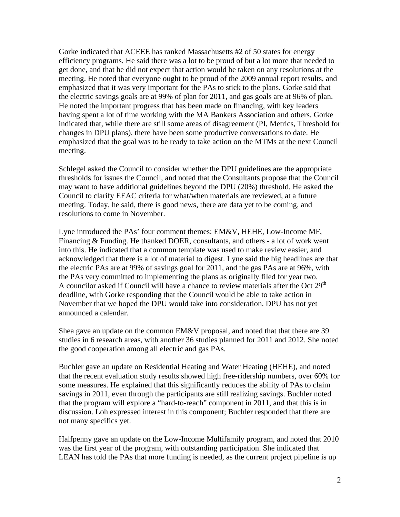Gorke indicated that ACEEE has ranked Massachusetts #2 of 50 states for energy efficiency programs. He said there was a lot to be proud of but a lot more that needed to get done, and that he did not expect that action would be taken on any resolutions at the meeting. He noted that everyone ought to be proud of the 2009 annual report results, and emphasized that it was very important for the PAs to stick to the plans. Gorke said that the electric savings goals are at 99% of plan for 2011, and gas goals are at 96% of plan. He noted the important progress that has been made on financing, with key leaders having spent a lot of time working with the MA Bankers Association and others. Gorke indicated that, while there are still some areas of disagreement (PI, Metrics, Threshold for changes in DPU plans), there have been some productive conversations to date. He emphasized that the goal was to be ready to take action on the MTMs at the next Council meeting.

Schlegel asked the Council to consider whether the DPU guidelines are the appropriate thresholds for issues the Council, and noted that the Consultants propose that the Council may want to have additional guidelines beyond the DPU (20%) threshold. He asked the Council to clarify EEAC criteria for what/when materials are reviewed, at a future meeting. Today, he said, there is good news, there are data yet to be coming, and resolutions to come in November.

Lyne introduced the PAs' four comment themes: EM&V, HEHE, Low-Income MF, Financing & Funding. He thanked DOER, consultants, and others - a lot of work went into this. He indicated that a common template was used to make review easier, and acknowledged that there is a lot of material to digest. Lyne said the big headlines are that the electric PAs are at 99% of savings goal for 2011, and the gas PAs are at 96%, with the PAs very committed to implementing the plans as originally filed for year two. A councilor asked if Council will have a chance to review materials after the Oct  $29<sup>th</sup>$ deadline, with Gorke responding that the Council would be able to take action in November that we hoped the DPU would take into consideration. DPU has not yet announced a calendar.

Shea gave an update on the common EM&V proposal, and noted that that there are 39 studies in 6 research areas, with another 36 studies planned for 2011 and 2012. She noted the good cooperation among all electric and gas PAs.

Buchler gave an update on Residential Heating and Water Heating (HEHE), and noted that the recent evaluation study results showed high free-ridership numbers, over 60% for some measures. He explained that this significantly reduces the ability of PAs to claim savings in 2011, even through the participants are still realizing savings. Buchler noted that the program will explore a "hard-to-reach" component in 2011, and that this is in discussion. Loh expressed interest in this component; Buchler responded that there are not many specifics yet.

Halfpenny gave an update on the Low-Income Multifamily program, and noted that 2010 was the first year of the program, with outstanding participation. She indicated that LEAN has told the PAs that more funding is needed, as the current project pipeline is up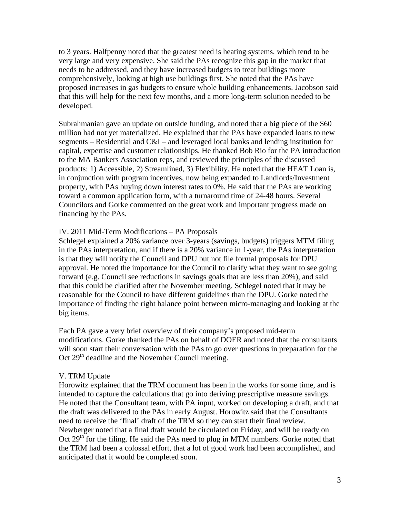to 3 years. Halfpenny noted that the greatest need is heating systems, which tend to be very large and very expensive. She said the PAs recognize this gap in the market that needs to be addressed, and they have increased budgets to treat buildings more comprehensively, looking at high use buildings first. She noted that the PAs have proposed increases in gas budgets to ensure whole building enhancements. Jacobson said that this will help for the next few months, and a more long-term solution needed to be developed.

Subrahmanian gave an update on outside funding, and noted that a big piece of the \$60 million had not yet materialized. He explained that the PAs have expanded loans to new segments – Residential and C&I – and leveraged local banks and lending institution for capital, expertise and customer relationships. He thanked Bob Rio for the PA introduction to the MA Bankers Association reps, and reviewed the principles of the discussed products: 1) Accessible, 2) Streamlined, 3) Flexibility. He noted that the HEAT Loan is, in conjunction with program incentives, now being expanded to Landlords/Investment property, with PAs buying down interest rates to 0%. He said that the PAs are working toward a common application form, with a turnaround time of 24-48 hours. Several Councilors and Gorke commented on the great work and important progress made on financing by the PAs.

### IV. 2011 Mid-Term Modifications – PA Proposals

Schlegel explained a 20% variance over 3-years (savings, budgets) triggers MTM filing in the PAs interpretation, and if there is a 20% variance in 1-year, the PAs interpretation is that they will notify the Council and DPU but not file formal proposals for DPU approval. He noted the importance for the Council to clarify what they want to see going forward (e.g. Council see reductions in savings goals that are less than 20%), and said that this could be clarified after the November meeting. Schlegel noted that it may be reasonable for the Council to have different guidelines than the DPU. Gorke noted the importance of finding the right balance point between micro-managing and looking at the big items.

Each PA gave a very brief overview of their company's proposed mid-term modifications. Gorke thanked the PAs on behalf of DOER and noted that the consultants will soon start their conversation with the PAs to go over questions in preparation for the Oct  $29<sup>th</sup>$  deadline and the November Council meeting.

#### V. TRM Update

Horowitz explained that the TRM document has been in the works for some time, and is intended to capture the calculations that go into deriving prescriptive measure savings. He noted that the Consultant team, with PA input, worked on developing a draft, and that the draft was delivered to the PAs in early August. Horowitz said that the Consultants need to receive the 'final' draft of the TRM so they can start their final review. Newberger noted that a final draft would be circulated on Friday, and will be ready on Oct  $29<sup>th</sup>$  for the filing. He said the PAs need to plug in MTM numbers. Gorke noted that the TRM had been a colossal effort, that a lot of good work had been accomplished, and anticipated that it would be completed soon.